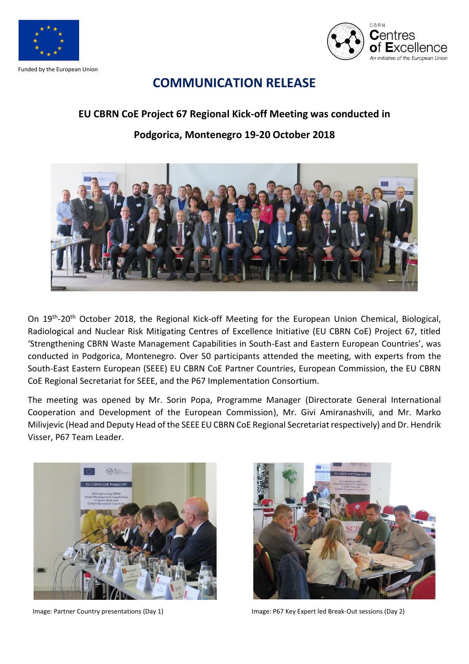

Funded by the European Union



## **COMMUNICATION RELEASE**

## **EU CBRN CoE Project 67 Regional Kick-off Meeting was conducted in**

## **Podgorica, Montenegro 19-20 October 2018**



On 19<sup>th</sup>-20<sup>th</sup> October 2018, the Regional Kick-off Meeting for the European Union Chemical, Biological, Radiological and Nuclear Risk Mitigating Centres of Excellence Initiative (EU CBRN CoE) Project 67, titled 'Strengthening CBRN Waste Management Capabilities in South-East and Eastern European Countries', was conducted in Podgorica, Montenegro. Over 50 participants attended the meeting, with experts from the South-East Eastern European (SEEE) EU CBRN CoE Partner Countries, European Commission, the EU CBRN CoE Regional Secretariat for SEEE, and the P67 Implementation Consortium.

The meeting was opened by Mr. Sorin Popa, Programme Manager (Directorate General International Cooperation and Development of the European Commission), Mr. Givi Amiranashvili, and Mr. Marko Milivjevic (Head and Deputy Head of the SEEE EU CBRN CoE Regional Secretariatrespectively) and Dr. Hendrik Visser, P67 Team Leader.





Image: Partner Country presentations (Day 1) Image: P67 Key Expert led Break-Out sessions (Day 2)